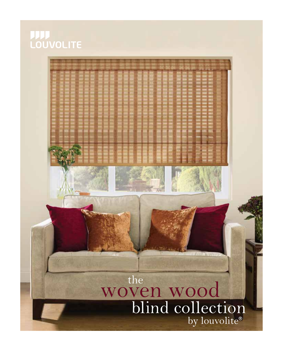# **LOUVOLITE**

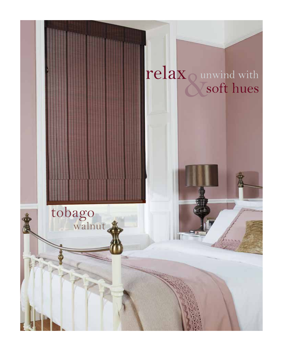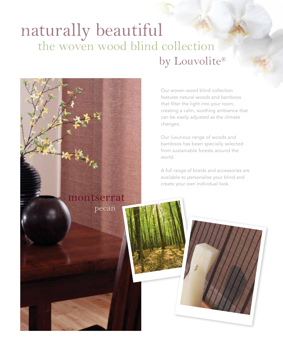### naturally beautiful the woven wood blind collection by Louvolite®

Our woven wood blind collection features natural woods and bamboos that filter the light into your room, creating a calm, soothing ambience that can be easily adjusted as the climate changes.

Our luxurious range of woods and bamboos has been specially selected from sustainable forests around the world.

A full range of braids and accessories are available to personalise your blind and create your own individual look.

#### montserrat

pecan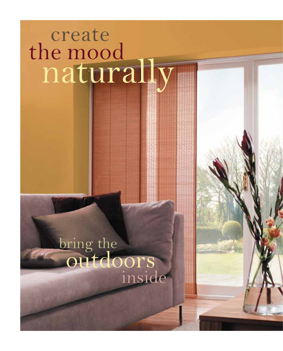### create the mood naturally

# **bring the** outdoors inside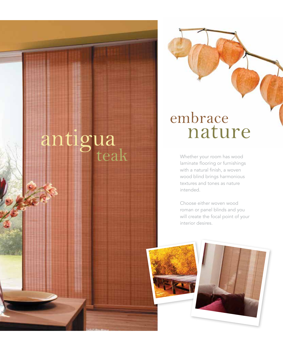# and the whether your room has wood<br>teak whether your room has wood<br>laminate flooring or furnishing

### embrace<br>nature antigua nature

laminate flooring or furnishings with a natural finish, a woven wood blind brings harmonious textures and tones as nature intended.

Choose either woven wood roman or panel blinds and you will create the focal point of your interior desires.



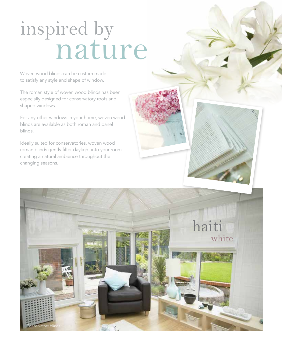## inspired by nature

Woven wood blinds can be custom made to satisfy any style and shape of window.

The roman style of woven wood blinds has been especially designed for conservatory roofs and shaped windows.

For any other windows in your home, woven wood blinds are available as both roman and panel blinds.

Ideally suited for conservatories, woven wood roman blinds gently filter daylight into your room creating a natural ambience throughout the changing seasons.

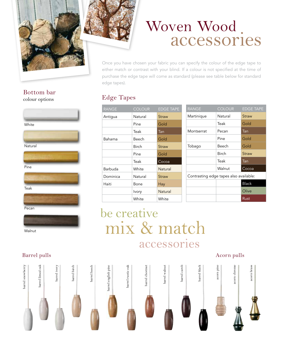

### Woven Wood accessories

Once you have chosen your fabric you can specify the colour of the edge tape to either match or contrast with your blind. If a colour is not specified at the time of purchase the edge tape will come as standard (please see table below for standard edge tapes).

#### colour options Edge Tapes

| <b>RANGE</b> | <b>COLOUR</b> | <b>EDGE TAPE</b>        |
|--------------|---------------|-------------------------|
| Antiqua      | Natural       | Straw                   |
|              | Pine          | Gold                    |
|              | Teak          | $\overline{\text{Ian}}$ |
| Bahama       | Beech         | Gold                    |
|              | <b>Birch</b>  | Straw                   |
|              | Pine          | Gold                    |
|              | Teak          | Cocoa                   |
| Barbuda      | White         | Natural                 |
| Dominica     | Natural       | Straw                   |
| Haiti        | Bone          | Hay                     |
|              | Ivory         | Natural                 |
|              | White         | White                   |

| <b>RANGE</b>                           | <b>COLOUR</b> | <b>EDGE TAPE</b> |  |
|----------------------------------------|---------------|------------------|--|
| Martinique                             | Natural       | Straw            |  |
|                                        | Teak          | Gold             |  |
| Montserrat                             | Pecan         | Tan              |  |
|                                        | Pine          | Gold             |  |
| Tobago                                 | Beech         | Gold             |  |
|                                        | <b>Birch</b>  | Straw            |  |
|                                        | Teak          | Tan              |  |
|                                        | Walnut        | Cocoa            |  |
| Contrasting edge tapes also available: |               |                  |  |
|                                        |               | <b>Black</b>     |  |
|                                        |               | Olive            |  |
|                                        |               | Rust             |  |

#### be creative mix & match accessories



#### Bottom bar



Teak



Walnut

#### Barrel pulls Acorn pulls Acorn pulls Acorn pulls Acorn pulls Acorn pulls Acorn pulls Acorn pulls and  $A$